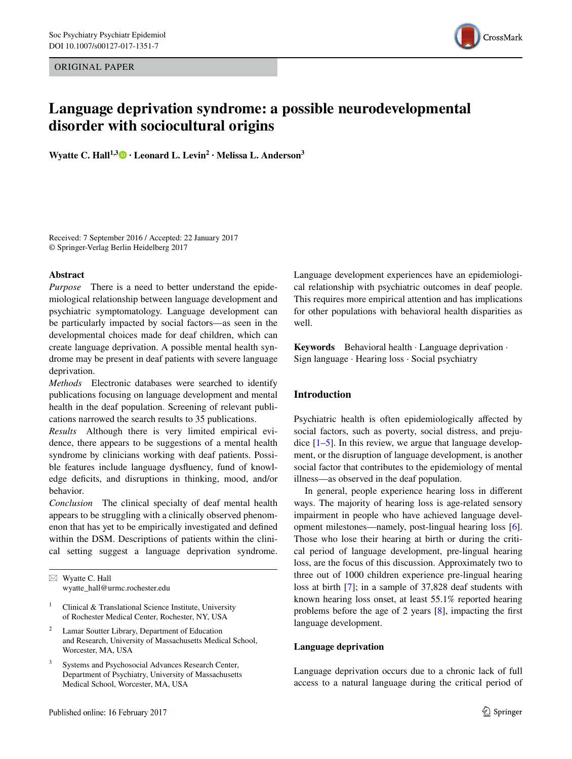ORIGINAL PAPER



# **Language deprivation syndrome: a possible neurodevelopmental disorder with sociocultural origins**

**Wyatte C. Hall1,3 · Leonard L. Levin<sup>2</sup> · Melissa L. Anderson3**

Received: 7 September 2016 / Accepted: 22 January 2017 © Springer-Verlag Berlin Heidelberg 2017

### **Abstract**

*Purpose* There is a need to better understand the epidemiological relationship between language development and psychiatric symptomatology. Language development can be particularly impacted by social factors—as seen in the developmental choices made for deaf children, which can create language deprivation. A possible mental health syndrome may be present in deaf patients with severe language deprivation.

*Methods* Electronic databases were searched to identify publications focusing on language development and mental health in the deaf population. Screening of relevant publications narrowed the search results to 35 publications.

*Results* Although there is very limited empirical evidence, there appears to be suggestions of a mental health syndrome by clinicians working with deaf patients. Possible features include language dysfluency, fund of knowledge deficits, and disruptions in thinking, mood, and/or behavior.

*Conclusion* The clinical specialty of deaf mental health appears to be struggling with a clinically observed phenomenon that has yet to be empirically investigated and defined within the DSM. Descriptions of patients within the clinical setting suggest a language deprivation syndrome.

- Clinical & Translational Science Institute, University of Rochester Medical Center, Rochester, NY, USA
- <sup>2</sup> Lamar Soutter Library, Department of Education and Research, University of Massachusetts Medical School, Worcester, MA, USA
- <sup>3</sup> Systems and Psychosocial Advances Research Center, Department of Psychiatry, University of Massachusetts Medical School, Worcester, MA, USA

Language development experiences have an epidemiological relationship with psychiatric outcomes in deaf people. This requires more empirical attention and has implications for other populations with behavioral health disparities as well.

**Keywords** Behavioral health · Language deprivation · Sign language · Hearing loss · Social psychiatry

# **Introduction**

Psychiatric health is often epidemiologically affected by social factors, such as poverty, social distress, and prejudice  $[1-5]$  $[1-5]$ . In this review, we argue that language development, or the disruption of language development, is another social factor that contributes to the epidemiology of mental illness—as observed in the deaf population.

In general, people experience hearing loss in different ways. The majority of hearing loss is age-related sensory impairment in people who have achieved language development milestones—namely, post-lingual hearing loss [\[6](#page-13-2)]. Those who lose their hearing at birth or during the critical period of language development, pre-lingual hearing loss, are the focus of this discussion. Approximately two to three out of 1000 children experience pre-lingual hearing loss at birth [[7\]](#page-13-3); in a sample of 37,828 deaf students with known hearing loss onset, at least 55.1% reported hearing problems before the age of 2 years [[8\]](#page-13-4), impacting the first language development.

### **Language deprivation**

Language deprivation occurs due to a chronic lack of full access to a natural language during the critical period of

 $\boxtimes$  Wyatte C. Hall wyatte\_hall@urmc.rochester.edu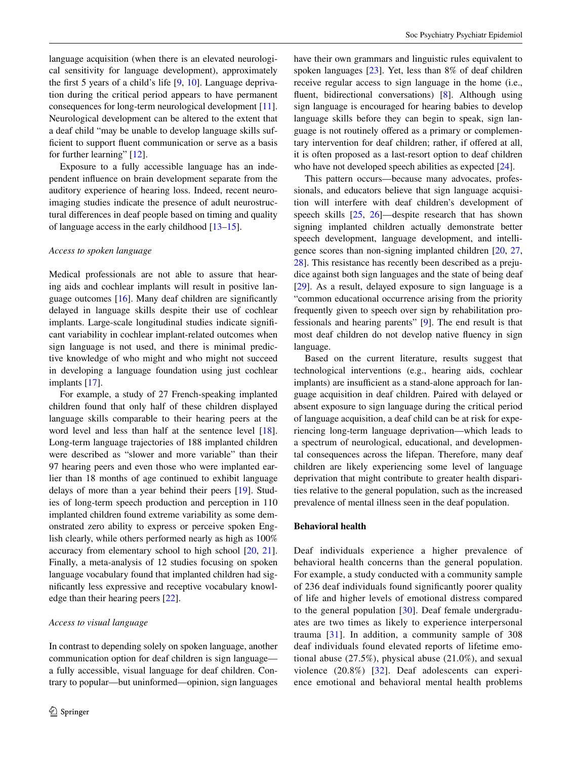language acquisition (when there is an elevated neurological sensitivity for language development), approximately the first 5 years of a child's life [\[9](#page-13-5), [10\]](#page-13-6). Language deprivation during the critical period appears to have permanent consequences for long-term neurological development [\[11](#page-13-7)]. Neurological development can be altered to the extent that a deaf child "may be unable to develop language skills sufficient to support fluent communication or serve as a basis for further learning" [\[12](#page-13-8)].

Exposure to a fully accessible language has an independent influence on brain development separate from the auditory experience of hearing loss. Indeed, recent neuroimaging studies indicate the presence of adult neurostructural differences in deaf people based on timing and quality of language access in the early childhood [\[13](#page-13-9)[–15](#page-13-10)].

# *Access to spoken language*

Medical professionals are not able to assure that hearing aids and cochlear implants will result in positive language outcomes [[16\]](#page-13-11). Many deaf children are significantly delayed in language skills despite their use of cochlear implants. Large-scale longitudinal studies indicate significant variability in cochlear implant-related outcomes when sign language is not used, and there is minimal predictive knowledge of who might and who might not succeed in developing a language foundation using just cochlear implants [\[17](#page-13-12)].

For example, a study of 27 French-speaking implanted children found that only half of these children displayed language skills comparable to their hearing peers at the word level and less than half at the sentence level [\[18](#page-13-13)]. Long-term language trajectories of 188 implanted children were described as "slower and more variable" than their 97 hearing peers and even those who were implanted earlier than 18 months of age continued to exhibit language delays of more than a year behind their peers [[19\]](#page-13-14). Studies of long-term speech production and perception in 110 implanted children found extreme variability as some demonstrated zero ability to express or perceive spoken English clearly, while others performed nearly as high as 100% accuracy from elementary school to high school [\[20](#page-13-15), [21](#page-13-16)]. Finally, a meta-analysis of 12 studies focusing on spoken language vocabulary found that implanted children had significantly less expressive and receptive vocabulary knowledge than their hearing peers [[22\]](#page-13-17).

### *Access to visual language*

In contrast to depending solely on spoken language, another communication option for deaf children is sign language a fully accessible, visual language for deaf children. Contrary to popular—but uninformed—opinion, sign languages have their own grammars and linguistic rules equivalent to spoken languages [[23\]](#page-13-18). Yet, less than 8% of deaf children receive regular access to sign language in the home (i.e., fluent, bidirectional conversations) [[8\]](#page-13-4). Although using sign language is encouraged for hearing babies to develop language skills before they can begin to speak, sign language is not routinely offered as a primary or complementary intervention for deaf children; rather, if offered at all, it is often proposed as a last-resort option to deaf children who have not developed speech abilities as expected [[24\]](#page-13-19).

This pattern occurs—because many advocates, professionals, and educators believe that sign language acquisition will interfere with deaf children's development of speech skills [[25,](#page-13-20) [26](#page-13-21)]—despite research that has shown signing implanted children actually demonstrate better speech development, language development, and intelligence scores than non-signing implanted children [[20,](#page-13-15) [27,](#page-13-22) [28](#page-13-23)]. This resistance has recently been described as a prejudice against both sign languages and the state of being deaf [\[29](#page-13-24)]. As a result, delayed exposure to sign language is a "common educational occurrence arising from the priority frequently given to speech over sign by rehabilitation professionals and hearing parents" [\[9](#page-13-5)]. The end result is that most deaf children do not develop native fluency in sign language.

Based on the current literature, results suggest that technological interventions (e.g., hearing aids, cochlear implants) are insufficient as a stand-alone approach for language acquisition in deaf children. Paired with delayed or absent exposure to sign language during the critical period of language acquisition, a deaf child can be at risk for experiencing long-term language deprivation—which leads to a spectrum of neurological, educational, and developmental consequences across the lifepan. Therefore, many deaf children are likely experiencing some level of language deprivation that might contribute to greater health disparities relative to the general population, such as the increased prevalence of mental illness seen in the deaf population.

#### **Behavioral health**

Deaf individuals experience a higher prevalence of behavioral health concerns than the general population. For example, a study conducted with a community sample of 236 deaf individuals found significantly poorer quality of life and higher levels of emotional distress compared to the general population [\[30](#page-13-25)]. Deaf female undergraduates are two times as likely to experience interpersonal trauma [\[31](#page-13-26)]. In addition, a community sample of 308 deaf individuals found elevated reports of lifetime emotional abuse (27.5%), physical abuse (21.0%), and sexual violence (20.8%) [\[32\]](#page-13-27). Deaf adolescents can experience emotional and behavioral mental health problems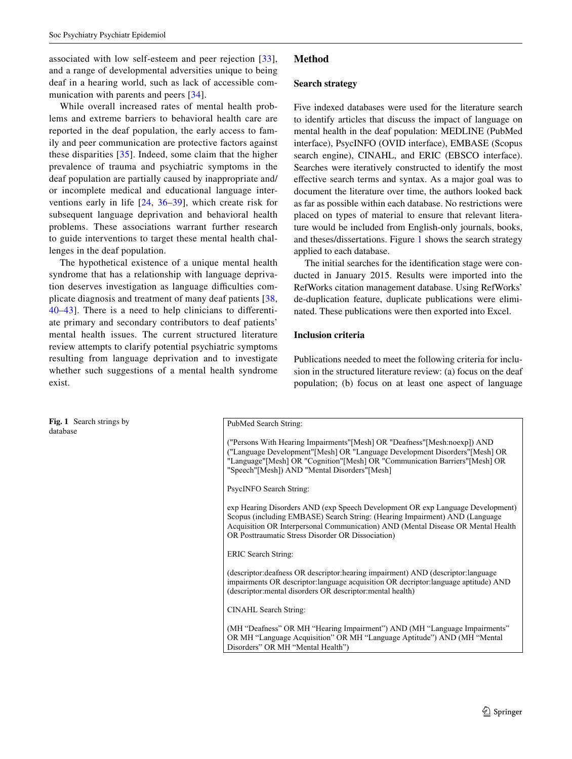associated with low self-esteem and peer rejection [[33](#page-13-28)], and a range of developmental adversities unique to being deaf in a hearing world, such as lack of accessible communication with parents and peers [[34](#page-13-29)].

While overall increased rates of mental health problems and extreme barriers to behavioral health care are reported in the deaf population, the early access to family and peer communication are protective factors against these disparities [[35\]](#page-13-30). Indeed, some claim that the higher prevalence of trauma and psychiatric symptoms in the deaf population are partially caused by inappropriate and/ or incomplete medical and educational language interventions early in life [\[24,](#page-13-19) [36–](#page-14-0)[39\]](#page-14-1), which create risk for subsequent language deprivation and behavioral health problems. These associations warrant further research to guide interventions to target these mental health challenges in the deaf population.

The hypothetical existence of a unique mental health syndrome that has a relationship with language deprivation deserves investigation as language difficulties complicate diagnosis and treatment of many deaf patients [\[38,](#page-14-2) [40](#page-14-3)[–43\]](#page-14-4). There is a need to help clinicians to differentiate primary and secondary contributors to deaf patients' mental health issues. The current structured literature review attempts to clarify potential psychiatric symptoms resulting from language deprivation and to investigate whether such suggestions of a mental health syndrome exist.

#### <span id="page-2-0"></span>**Fig. 1** Search strings by Fig. 1 Search strings by PubMed Search String:<br>database

### **Method**

### **Search strategy**

Five indexed databases were used for the literature search to identify articles that discuss the impact of language on mental health in the deaf population: MEDLINE (PubMed interface), PsycINFO (OVID interface), EMBASE (Scopus search engine), CINAHL, and ERIC (EBSCO interface). Searches were iteratively constructed to identify the most effective search terms and syntax. As a major goal was to document the literature over time, the authors looked back as far as possible within each database. No restrictions were placed on types of material to ensure that relevant literature would be included from English-only journals, books, and theses/dissertations. Figure [1](#page-2-0) shows the search strategy applied to each database.

The initial searches for the identification stage were conducted in January 2015. Results were imported into the RefWorks citation management database. Using RefWorks' de-duplication feature, duplicate publications were eliminated. These publications were then exported into Excel.

# **Inclusion criteria**

Publications needed to meet the following criteria for inclusion in the structured literature review: (a) focus on the deaf population; (b) focus on at least one aspect of language

("Persons With Hearing Impairments"[Mesh] OR "Deafness"[Mesh:noexp]) AND ("Language Development"[Mesh] OR "Language Development Disorders"[Mesh] OR "Language"[Mesh] OR "Cognition"[Mesh] OR "Communication Barriers"[Mesh] OR "Speech"[Mesh]) AND "Mental Disorders"[Mesh]

PsycINFO Search String:

exp Hearing Disorders AND (exp Speech Development OR exp Language Development) Scopus (including EMBASE) Search String: (Hearing Impairment) AND (Language Acquisition OR Interpersonal Communication) AND (Mental Disease OR Mental Health OR Posttraumatic Stress Disorder OR Dissociation)

ERIC Search String:

(descriptor:deafness OR descriptor:hearing impairment) AND (descriptor:language impairments OR descriptor:language acquisition OR decriptor:language aptitude) AND (descriptor:mental disorders OR descriptor:mental health)

CINAHL Search String:

(MH "Deafness" OR MH "Hearing Impairment") AND (MH "Language Impairments" OR MH "Language Acquisition" OR MH "Language Aptitude") AND (MH "Mental Disorders" OR MH "Mental Health")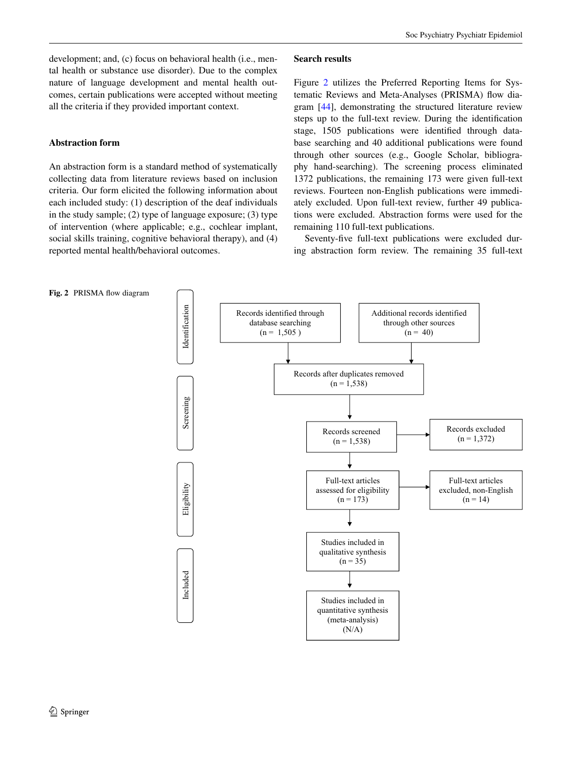development; and, (c) focus on behavioral health (i.e., mental health or substance use disorder). Due to the complex nature of language development and mental health outcomes, certain publications were accepted without meeting all the criteria if they provided important context.

# **Abstraction form**

An abstraction form is a standard method of systematically collecting data from literature reviews based on inclusion criteria. Our form elicited the following information about each included study: (1) description of the deaf individuals in the study sample; (2) type of language exposure; (3) type of intervention (where applicable; e.g., cochlear implant, social skills training, cognitive behavioral therapy), and (4) reported mental health/behavioral outcomes.

### **Search results**

Figure [2](#page-3-0) utilizes the Preferred Reporting Items for Systematic Reviews and Meta-Analyses (PRISMA) flow diagram [\[44](#page-14-5)], demonstrating the structured literature review steps up to the full-text review. During the identification stage, 1505 publications were identified through database searching and 40 additional publications were found through other sources (e.g., Google Scholar, bibliography hand-searching). The screening process eliminated 1372 publications, the remaining 173 were given full-text reviews. Fourteen non-English publications were immediately excluded. Upon full-text review, further 49 publications were excluded. Abstraction forms were used for the remaining 110 full-text publications.

Seventy-five full-text publications were excluded during abstraction form review. The remaining 35 full-text

<span id="page-3-0"></span>

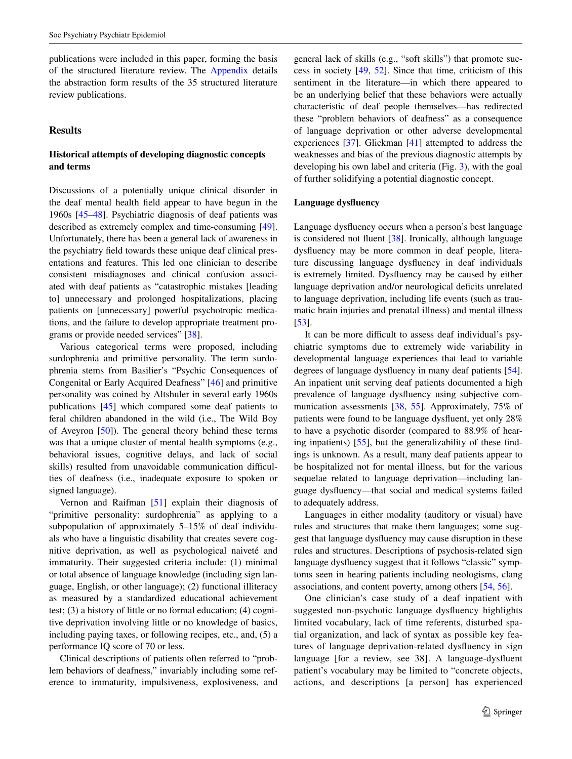publications were included in this paper, forming the basis of the structured literature review. The [Appendix](#page-8-0) details the abstraction form results of the 35 structured literature review publications.

# **Results**

# **Historical attempts of developing diagnostic concepts and terms**

Discussions of a potentially unique clinical disorder in the deaf mental health field appear to have begun in the 1960s [[45–](#page-14-6)[48\]](#page-14-7). Psychiatric diagnosis of deaf patients was described as extremely complex and time-consuming [\[49](#page-14-8)]. Unfortunately, there has been a general lack of awareness in the psychiatry field towards these unique deaf clinical presentations and features. This led one clinician to describe consistent misdiagnoses and clinical confusion associated with deaf patients as "catastrophic mistakes [leading to] unnecessary and prolonged hospitalizations, placing patients on [unnecessary] powerful psychotropic medications, and the failure to develop appropriate treatment programs or provide needed services" [\[38](#page-14-2)].

Various categorical terms were proposed, including surdophrenia and primitive personality. The term surdophrenia stems from Basilier's "Psychic Consequences of Congenital or Early Acquired Deafness" [\[46](#page-14-9)] and primitive personality was coined by Altshuler in several early 1960s publications [[45\]](#page-14-6) which compared some deaf patients to feral children abandoned in the wild (i.e., The Wild Boy of Aveyron  $[50]$  $[50]$ ). The general theory behind these terms was that a unique cluster of mental health symptoms (e.g., behavioral issues, cognitive delays, and lack of social skills) resulted from unavoidable communication difficulties of deafness (i.e., inadequate exposure to spoken or signed language).

Vernon and Raifman [\[51](#page-14-11)] explain their diagnosis of "primitive personality: surdophrenia" as applying to a subpopulation of approximately 5–15% of deaf individuals who have a linguistic disability that creates severe cognitive deprivation, as well as psychological naiveté and immaturity. Their suggested criteria include: (1) minimal or total absence of language knowledge (including sign language, English, or other language); (2) functional illiteracy as measured by a standardized educational achievement test; (3) a history of little or no formal education; (4) cognitive deprivation involving little or no knowledge of basics, including paying taxes, or following recipes, etc., and, (5) a performance IQ score of 70 or less.

Clinical descriptions of patients often referred to "problem behaviors of deafness," invariably including some reference to immaturity, impulsiveness, explosiveness, and general lack of skills (e.g., "soft skills") that promote success in society [[49,](#page-14-8) [52\]](#page-14-12). Since that time, criticism of this sentiment in the literature—in which there appeared to be an underlying belief that these behaviors were actually characteristic of deaf people themselves—has redirected these "problem behaviors of deafness" as a consequence of language deprivation or other adverse developmental experiences [\[37](#page-14-13)]. Glickman [\[41](#page-14-14)] attempted to address the weaknesses and bias of the previous diagnostic attempts by developing his own label and criteria (Fig. [3](#page-5-0)), with the goal of further solidifying a potential diagnostic concept.

### **Language dysfluency**

Language dysfluency occurs when a person's best language is considered not fluent [\[38](#page-14-2)]. Ironically, although language dysfluency may be more common in deaf people, literature discussing language dysfluency in deaf individuals is extremely limited. Dysfluency may be caused by either language deprivation and/or neurological deficits unrelated to language deprivation, including life events (such as traumatic brain injuries and prenatal illness) and mental illness [\[53](#page-14-15)].

It can be more difficult to assess deaf individual's psychiatric symptoms due to extremely wide variability in developmental language experiences that lead to variable degrees of language dysfluency in many deaf patients [\[54](#page-14-16)]. An inpatient unit serving deaf patients documented a high prevalence of language dysfluency using subjective communication assessments [\[38](#page-14-2), [55\]](#page-14-17). Approximately, 75% of patients were found to be language dysfluent, yet only 28% to have a psychotic disorder (compared to 88.9% of hearing inpatients) [[55\]](#page-14-17), but the generalizability of these findings is unknown. As a result, many deaf patients appear to be hospitalized not for mental illness, but for the various sequelae related to language deprivation—including language dysfluency—that social and medical systems failed to adequately address.

Languages in either modality (auditory or visual) have rules and structures that make them languages; some suggest that language dysfluency may cause disruption in these rules and structures. Descriptions of psychosis-related sign language dysfluency suggest that it follows "classic" symptoms seen in hearing patients including neologisms, clang associations, and content poverty, among others [\[54](#page-14-16), [56](#page-14-18)].

One clinician's case study of a deaf inpatient with suggested non-psychotic language dysfluency highlights limited vocabulary, lack of time referents, disturbed spatial organization, and lack of syntax as possible key features of language deprivation-related dysfluency in sign language [for a review, see 38]. A language-dysfluent patient's vocabulary may be limited to "concrete objects, actions, and descriptions [a person] has experienced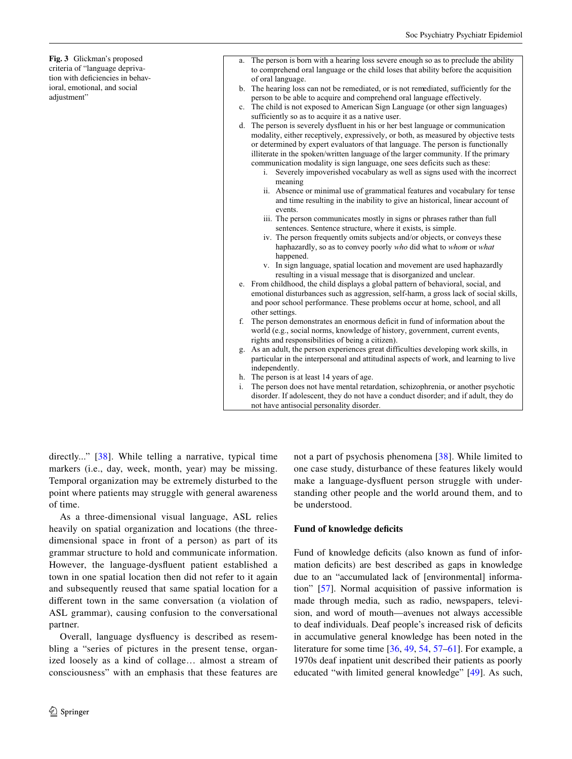<span id="page-5-0"></span>**Fig. 3** Glickman's proposed criteria of "language deprivation with deficiencies in behavioral, emotional, and social adjustment"

- a. The person is born with a hearing loss severe enough so as to preclude the ability to comprehend oral language or the child loses that ability before the acquisition of oral language.
- b. The hearing loss can not be remediated, or is not remediated, sufficiently for the person to be able to acquire and comprehend oral language effectively.
- c. The child is not exposed to American Sign Language (or other sign languages) sufficiently so as to acquire it as a native user.
- d. The person is severely dysfluent in his or her best language or communication modality, either receptively, expressively, or both, as measured by objective tests or determined by expert evaluators of that language. The person is functionally illiterate in the spoken/written language of the larger community. If the primary communication modality is sign language, one sees deficits such as these:
	- i. Severely impoverished vocabulary as well as signs used with the incorrect meaning
	- ii. Absence or minimal use of grammatical features and vocabulary for tense and time resulting in the inability to give an historical, linear account of events.
	- iii. The person communicates mostly in signs or phrases rather than full sentences. Sentence structure, where it exists, is simple.
	- iv. The person frequently omits subjects and/or objects, or conveys these haphazardly, so as to convey poorly *who* did what to *whom* or *what* happened.
	- v. In sign language, spatial location and movement are used haphazardly resulting in a visual message that is disorganized and unclear.
- e. From childhood, the child displays a global pattern of behavioral, social, and emotional disturbances such as aggression, self-harm, a gross lack of social skills, and poor school performance. These problems occur at home, school, and all other settings.
- f. The person demonstrates an enormous deficit in fund of information about the world (e.g., social norms, knowledge of history, government, current events, rights and responsibilities of being a citizen).
- As an adult, the person experiences great difficulties developing work skills, in particular in the interpersonal and attitudinal aspects of work, and learning to live independently.
- h. The person is at least 14 years of age.
- The person does not have mental retardation, schizophrenia, or another psychotic disorder. If adolescent, they do not have a conduct disorder; and if adult, they do not have antisocial personality disorder.

directly..." [[38](#page-14-2)]. While telling a narrative, typical time markers (i.e., day, week, month, year) may be missing. Temporal organization may be extremely disturbed to the point where patients may struggle with general awareness of time.

As a three-dimensional visual language, ASL relies heavily on spatial organization and locations (the threedimensional space in front of a person) as part of its grammar structure to hold and communicate information. However, the language-dysfluent patient established a town in one spatial location then did not refer to it again and subsequently reused that same spatial location for a different town in the same conversation (a violation of ASL grammar), causing confusion to the conversational partner.

Overall, language dysfluency is described as resembling a "series of pictures in the present tense, organized loosely as a kind of collage… almost a stream of consciousness" with an emphasis that these features are

not a part of psychosis phenomena [[38](#page-14-2)]. While limited to one case study, disturbance of these features likely would make a language-dysfluent person struggle with understanding other people and the world around them, and to be understood.

### **Fund of knowledge deficits**

Fund of knowledge deficits (also known as fund of information deficits) are best described as gaps in knowledge due to an "accumulated lack of [environmental] information" [\[57](#page-14-19)]. Normal acquisition of passive information is made through media, such as radio, newspapers, television, and word of mouth—avenues not always accessible to deaf individuals. Deaf people's increased risk of deficits in accumulative general knowledge has been noted in the literature for some time [\[36](#page-14-0), [49](#page-14-8), [54](#page-14-16), [57](#page-14-19)[–61](#page-14-20)]. For example, a 1970s deaf inpatient unit described their patients as poorly educated "with limited general knowledge" [[49\]](#page-14-8). As such,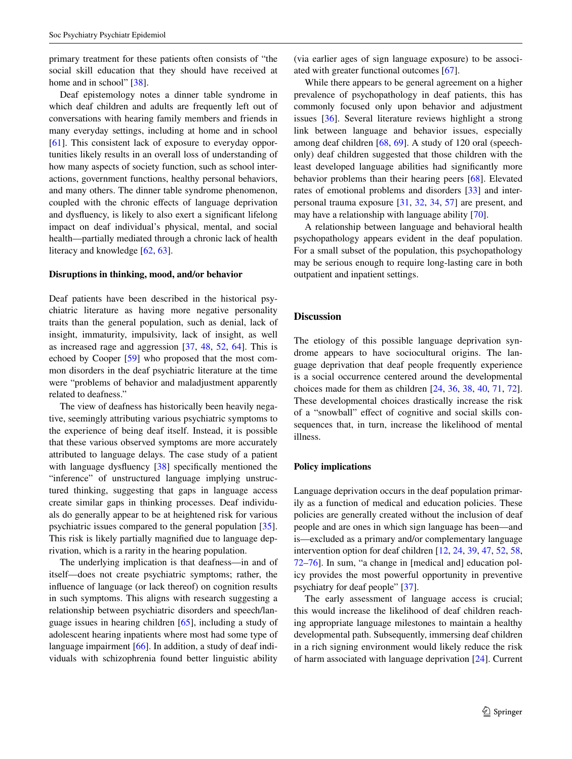primary treatment for these patients often consists of "the social skill education that they should have received at home and in school" [\[38](#page-14-2)].

Deaf epistemology notes a dinner table syndrome in which deaf children and adults are frequently left out of conversations with hearing family members and friends in many everyday settings, including at home and in school [\[61](#page-14-20)]. This consistent lack of exposure to everyday opportunities likely results in an overall loss of understanding of how many aspects of society function, such as school interactions, government functions, healthy personal behaviors, and many others. The dinner table syndrome phenomenon, coupled with the chronic effects of language deprivation and dysfluency, is likely to also exert a significant lifelong impact on deaf individual's physical, mental, and social health—partially mediated through a chronic lack of health literacy and knowledge [\[62](#page-14-21), [63](#page-14-22)].

#### **Disruptions in thinking, mood, and/or behavior**

Deaf patients have been described in the historical psychiatric literature as having more negative personality traits than the general population, such as denial, lack of insight, immaturity, impulsivity, lack of insight, as well as increased rage and aggression [\[37](#page-14-13), [48](#page-14-7), [52](#page-14-12), [64\]](#page-14-23). This is echoed by Cooper [[59\]](#page-14-24) who proposed that the most common disorders in the deaf psychiatric literature at the time were "problems of behavior and maladjustment apparently related to deafness."

The view of deafness has historically been heavily negative, seemingly attributing various psychiatric symptoms to the experience of being deaf itself. Instead, it is possible that these various observed symptoms are more accurately attributed to language delays. The case study of a patient with language dysfluency [[38\]](#page-14-2) specifically mentioned the "inference" of unstructured language implying unstructured thinking, suggesting that gaps in language access create similar gaps in thinking processes. Deaf individuals do generally appear to be at heightened risk for various psychiatric issues compared to the general population [\[35](#page-13-30)]. This risk is likely partially magnified due to language deprivation, which is a rarity in the hearing population.

The underlying implication is that deafness—in and of itself—does not create psychiatric symptoms; rather, the influence of language (or lack thereof) on cognition results in such symptoms. This aligns with research suggesting a relationship between psychiatric disorders and speech/language issues in hearing children [\[65](#page-14-25)], including a study of adolescent hearing inpatients where most had some type of language impairment [[66\]](#page-14-26). In addition, a study of deaf individuals with schizophrenia found better linguistic ability (via earlier ages of sign language exposure) to be associated with greater functional outcomes [\[67](#page-14-27)].

While there appears to be general agreement on a higher prevalence of psychopathology in deaf patients, this has commonly focused only upon behavior and adjustment issues [\[36](#page-14-0)]. Several literature reviews highlight a strong link between language and behavior issues, especially among deaf children [[68,](#page-14-28) [69](#page-14-29)]. A study of 120 oral (speechonly) deaf children suggested that those children with the least developed language abilities had significantly more behavior problems than their hearing peers [\[68](#page-14-28)]. Elevated rates of emotional problems and disorders [[33\]](#page-13-28) and interpersonal trauma exposure [\[31](#page-13-26), [32](#page-13-27), [34,](#page-13-29) [57](#page-14-19)] are present, and may have a relationship with language ability [\[70](#page-14-30)].

A relationship between language and behavioral health psychopathology appears evident in the deaf population. For a small subset of the population, this psychopathology may be serious enough to require long-lasting care in both outpatient and inpatient settings.

# **Discussion**

The etiology of this possible language deprivation syndrome appears to have sociocultural origins. The language deprivation that deaf people frequently experience is a social occurrence centered around the developmental choices made for them as children [\[24](#page-13-19), [36,](#page-14-0) [38](#page-14-2), [40](#page-14-3), [71,](#page-14-31) [72](#page-14-32)]. These developmental choices drastically increase the risk of a "snowball" effect of cognitive and social skills consequences that, in turn, increase the likelihood of mental illness.

#### **Policy implications**

Language deprivation occurs in the deaf population primarily as a function of medical and education policies. These policies are generally created without the inclusion of deaf people and are ones in which sign language has been—and is—excluded as a primary and/or complementary language intervention option for deaf children [[12,](#page-13-8) [24,](#page-13-19) [39,](#page-14-1) [47,](#page-14-33) [52,](#page-14-12) [58,](#page-14-34) [72](#page-14-32)[–76](#page-14-35)]. In sum, "a change in [medical and] education policy provides the most powerful opportunity in preventive psychiatry for deaf people" [[37\]](#page-14-13).

The early assessment of language access is crucial; this would increase the likelihood of deaf children reaching appropriate language milestones to maintain a healthy developmental path. Subsequently, immersing deaf children in a rich signing environment would likely reduce the risk of harm associated with language deprivation [[24\]](#page-13-19). Current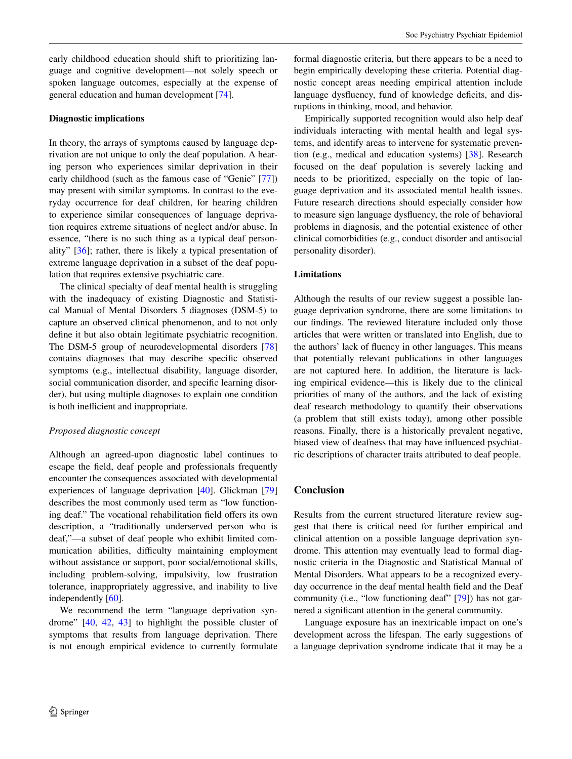early childhood education should shift to prioritizing language and cognitive development—not solely speech or spoken language outcomes, especially at the expense of general education and human development [[74\]](#page-14-36).

#### **Diagnostic implications**

In theory, the arrays of symptoms caused by language deprivation are not unique to only the deaf population. A hearing person who experiences similar deprivation in their early childhood (such as the famous case of "Genie" [\[77](#page-15-0)]) may present with similar symptoms. In contrast to the everyday occurrence for deaf children, for hearing children to experience similar consequences of language deprivation requires extreme situations of neglect and/or abuse. In essence, "there is no such thing as a typical deaf personality" [\[36](#page-14-0)]; rather, there is likely a typical presentation of extreme language deprivation in a subset of the deaf population that requires extensive psychiatric care.

The clinical specialty of deaf mental health is struggling with the inadequacy of existing Diagnostic and Statistical Manual of Mental Disorders 5 diagnoses (DSM-5) to capture an observed clinical phenomenon, and to not only define it but also obtain legitimate psychiatric recognition. The DSM-5 group of neurodevelopmental disorders [[78\]](#page-15-1) contains diagnoses that may describe specific observed symptoms (e.g., intellectual disability, language disorder, social communication disorder, and specific learning disorder), but using multiple diagnoses to explain one condition is both inefficient and inappropriate.

#### *Proposed diagnostic concept*

Although an agreed-upon diagnostic label continues to escape the field, deaf people and professionals frequently encounter the consequences associated with developmental experiences of language deprivation [[40\]](#page-14-3). Glickman [[79\]](#page-15-2) describes the most commonly used term as "low functioning deaf." The vocational rehabilitation field offers its own description, a "traditionally underserved person who is deaf,"—a subset of deaf people who exhibit limited communication abilities, difficulty maintaining employment without assistance or support, poor social/emotional skills, including problem-solving, impulsivity, low frustration tolerance, inappropriately aggressive, and inability to live independently [\[60](#page-14-37)].

We recommend the term "language deprivation syndrome" [\[40](#page-14-3), [42](#page-14-38), [43\]](#page-14-4) to highlight the possible cluster of symptoms that results from language deprivation. There is not enough empirical evidence to currently formulate

formal diagnostic criteria, but there appears to be a need to begin empirically developing these criteria. Potential diagnostic concept areas needing empirical attention include language dysfluency, fund of knowledge deficits, and disruptions in thinking, mood, and behavior.

Empirically supported recognition would also help deaf individuals interacting with mental health and legal systems, and identify areas to intervene for systematic prevention (e.g., medical and education systems) [\[38](#page-14-2)]. Research focused on the deaf population is severely lacking and needs to be prioritized, especially on the topic of language deprivation and its associated mental health issues. Future research directions should especially consider how to measure sign language dysfluency, the role of behavioral problems in diagnosis, and the potential existence of other clinical comorbidities (e.g., conduct disorder and antisocial personality disorder).

### **Limitations**

Although the results of our review suggest a possible language deprivation syndrome, there are some limitations to our findings. The reviewed literature included only those articles that were written or translated into English, due to the authors' lack of fluency in other languages. This means that potentially relevant publications in other languages are not captured here. In addition, the literature is lacking empirical evidence—this is likely due to the clinical priorities of many of the authors, and the lack of existing deaf research methodology to quantify their observations (a problem that still exists today), among other possible reasons. Finally, there is a historically prevalent negative, biased view of deafness that may have influenced psychiatric descriptions of character traits attributed to deaf people.

#### **Conclusion**

Results from the current structured literature review suggest that there is critical need for further empirical and clinical attention on a possible language deprivation syndrome. This attention may eventually lead to formal diagnostic criteria in the Diagnostic and Statistical Manual of Mental Disorders. What appears to be a recognized everyday occurrence in the deaf mental health field and the Deaf community (i.e., "low functioning deaf" [\[79](#page-15-2)]) has not garnered a significant attention in the general community.

Language exposure has an inextricable impact on one's development across the lifespan. The early suggestions of a language deprivation syndrome indicate that it may be a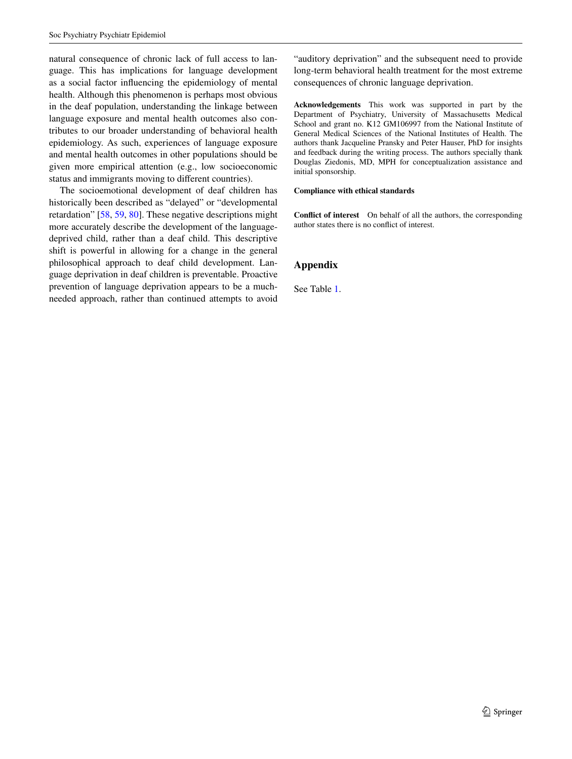natural consequence of chronic lack of full access to language. This has implications for language development as a social factor influencing the epidemiology of mental health. Although this phenomenon is perhaps most obvious in the deaf population, understanding the linkage between language exposure and mental health outcomes also contributes to our broader understanding of behavioral health epidemiology. As such, experiences of language exposure and mental health outcomes in other populations should be given more empirical attention (e.g., low socioeconomic status and immigrants moving to different countries).

The socioemotional development of deaf children has historically been described as "delayed" or "developmental retardation" [[58,](#page-14-34) [59](#page-14-24), [80](#page-15-3)]. These negative descriptions might more accurately describe the development of the languagedeprived child, rather than a deaf child. This descriptive shift is powerful in allowing for a change in the general philosophical approach to deaf child development. Language deprivation in deaf children is preventable. Proactive prevention of language deprivation appears to be a muchneeded approach, rather than continued attempts to avoid

"auditory deprivation" and the subsequent need to provide long-term behavioral health treatment for the most extreme consequences of chronic language deprivation.

**Acknowledgements** This work was supported in part by the Department of Psychiatry, University of Massachusetts Medical School and grant no. K12 GM106997 from the National Institute of General Medical Sciences of the National Institutes of Health. The authors thank Jacqueline Pransky and Peter Hauser, PhD for insights and feedback during the writing process. The authors specially thank Douglas Ziedonis, MD, MPH for conceptualization assistance and initial sponsorship.

#### **Compliance with ethical standards**

**Conflict of interest** On behalf of all the authors, the corresponding author states there is no conflict of interest.

### <span id="page-8-0"></span>**Appendix**

See Table [1.](#page-9-0)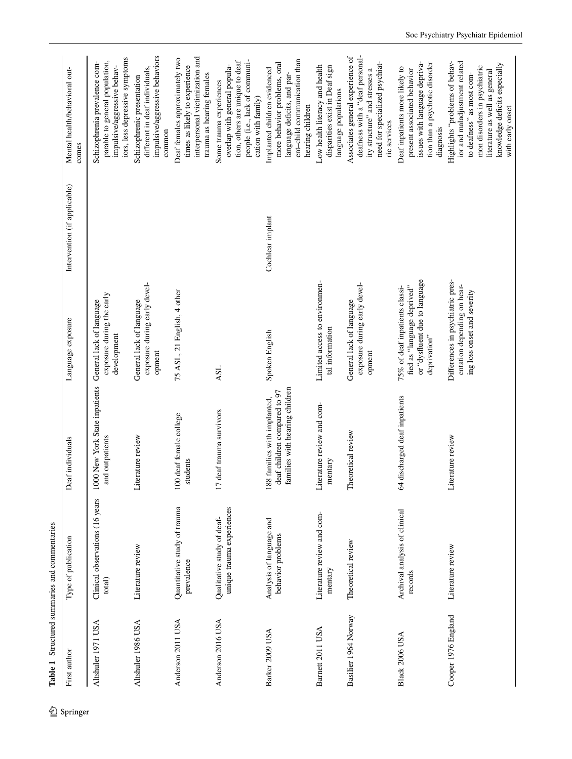<span id="page-9-0"></span>

| First author         | Type of publication                                     | Deaf individuals                                                                               | Language exposure                                                                                              | Intervention (if applicable) | Mental health/behavioral out-<br>comes                                                                                                                                                                             |
|----------------------|---------------------------------------------------------|------------------------------------------------------------------------------------------------|----------------------------------------------------------------------------------------------------------------|------------------------------|--------------------------------------------------------------------------------------------------------------------------------------------------------------------------------------------------------------------|
| Altshuler 1971 USA   | Clinical observations (16 years<br>total)               | 1000 New York State inpatients<br>and outpatients                                              | exposure during the early<br>General lack of language<br>development                                           |                              | iors, less depressive symptoms<br>parable to general population,<br>Schizophrenia prevalence com-<br>impulsive/aggressive behav-                                                                                   |
| Altshuler 1986 USA   | Literature review                                       | Literature review                                                                              | exposure during early devel-<br>General lack of language<br>$opment$                                           |                              | impulsive/aggressive behaviors<br>different in deaf individuals,<br>Schizophrenic presentation<br>common                                                                                                           |
| Anderson 2011 USA    | Quantitative study of trauma<br>prevalence              | 100 deaf female college<br>students                                                            | 75 ASL, 21 English, 4 other                                                                                    |                              | interpersonal victimization and<br>Deaf females approximately two<br>times as likely to experience<br>trauma as hearing females                                                                                    |
| Anderson 2016 USA    | unique trauma experiences<br>Qualitative study of deaf- | deaf trauma survivors<br>$\overline{17}$                                                       | <b>ASL</b>                                                                                                     |                              | tion, others are unique to deaf<br>people (i.e., lack of communi-<br>overlap with general popula-<br>Some trauma experiences<br>cation with family)                                                                |
| Barker 2009 USA      | Analysis of language and<br>behavior problems           | families with hearing children<br>deaf children compared to 97<br>188 families with implanted, | Spoken English                                                                                                 | Cochlear implant             | ent-child communication than<br>more behavior problems, oral<br>Implanted children evidenced<br>language deficits, and par-<br>hearing children                                                                    |
| Barnett 2011 USA     | Literature review and com-<br>mentary                   | Literature review and com-<br>mentary                                                          | Limited access to environmen-<br>tal information                                                               |                              | Low health literacy and health<br>disparities exist in Deaf sign<br>language populations                                                                                                                           |
| Basilier 1964 Norway | Theoretical review                                      | Theoretical review                                                                             | exposure during early devel-<br>General lack of language<br>opment                                             |                              | deafness with a "deaf personal-<br>Associates general experience of<br>need for specialized psychiat-<br>ity structure" and stresses a<br>ric services                                                             |
| Black 2006 USA       | Archival analysis of clinical<br>records                | discharged deaf inpatients<br>$\mathcal{L}$                                                    | or "dysfluent due to language<br>fied as "language deprived"<br>75% of deaf inpatients classi-<br>deprivation" |                              | issues with language depriva-<br>tion than a psychotic disorder<br>Deaf inpatients more likely to<br>present associated behavior<br>diagnosis                                                                      |
| Cooper 1976 England  | Literature review                                       | Literature review                                                                              | Differences in psychiatric pres-<br>entation depending on hear-<br>ing loss onset and severity                 |                              | Highlights "problems of behav-<br>ior and maladjustment related<br>knowledge deficits especially<br>mon disorders in psychiatric<br>literature as well as general<br>to deafness" as most com-<br>with early onset |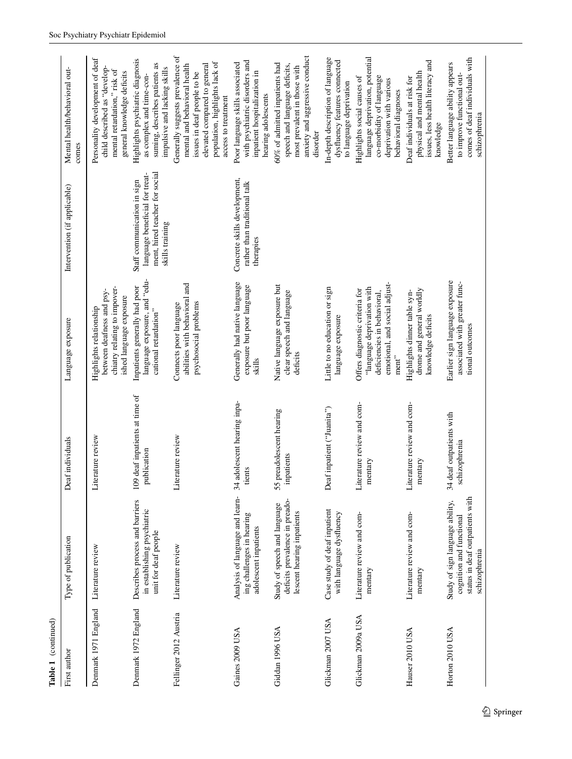| í, |  |
|----|--|

| First author           | Type of publication                                                                                             | af individuals<br>$\beta$ e                   | Language exposure                                                                                                                                        | Intervention (if applicable)                                                                                       | Mental health/behavioral out-<br>comes                                                                                                                                                   |
|------------------------|-----------------------------------------------------------------------------------------------------------------|-----------------------------------------------|----------------------------------------------------------------------------------------------------------------------------------------------------------|--------------------------------------------------------------------------------------------------------------------|------------------------------------------------------------------------------------------------------------------------------------------------------------------------------------------|
| Denmark 1971 England   | Literature review                                                                                               | Literature review                             | chiatry relating to impover-<br>between deafness and psy-<br>ished language exposure<br>Highlights relationship                                          |                                                                                                                    | Personality development of deaf<br>child described as "develop-<br>mental retardation," risk of<br>general knowledge deficits                                                            |
| Denmark 1972 England   | Describes process and barriers<br>in establishing psychiatric<br>unit for deaf people                           | 109 deaf inpatients at time of<br>publication | language exposure, and "edu-<br>Inpatients generally had poor<br>cational retardation"                                                                   | ment, hired teacher for social<br>language beneficial for treat-<br>Staff communication in sign<br>skills training | Highlights psychiatric diagnosis<br>suming, describes patients as<br>impulsive and lacking skills<br>as complex and time-con-                                                            |
| Fellinger 2012 Austria | Literature review                                                                                               | Literature review                             | abilities with behavioral and<br>psychosocial problems<br>Connects poor language                                                                         |                                                                                                                    | Generally suggests prevalence of<br>population, highlights lack of<br>elevated compared to general<br>mental and behavioral health<br>issues in deaf people to be<br>access to treatment |
| Gaines 2009 USA        | Analysis of language and learn-<br>ing challenges in hearing<br>adolescent inpatients                           | adolescent hearing inpa-<br>tients<br>34      | Generally had native language<br>exposure but poor language<br>skills                                                                                    | Concrete skills development,<br>rather than traditional talk<br>therapies                                          | with psychiatric disorders and<br>Poor language skills associated<br>inpatient hospitalization in<br>hearing adolescents                                                                 |
| Giddan 1996 USA        | deficits prevalence in preado-<br>Study of speech and language<br>lescent hearing inpatients                    | preadolescent hearing<br>inpatients<br>55     | Native language exposure but<br>clear speech and language<br>deficits                                                                                    |                                                                                                                    | anxiety and aggressive conduct<br>60% of admitted inpatients had<br>speech and language deficits,<br>most prevalent in those with<br>disorder                                            |
| Glickman 2007 USA      | Case study of deaf inpatient<br>with language dysfluency                                                        | Deaf inpatient ("Juanita")                    | Little to no education or sign<br>language exposure                                                                                                      |                                                                                                                    | In-depth description of language<br>dysfluency features connected<br>to language deprivation                                                                                             |
| Glickman 2009a USA     | Literature review and com-<br>mentary                                                                           | Literature review and com-<br>mentary         | emotional, and social adjust-<br>div noitivation with<br>Offers diagnostic criteria for<br>deficiencies in behavioral,<br>$\mathrm{ment}^{\prime\prime}$ |                                                                                                                    | language deprivation, potential<br>co-morbidity of language<br>Highlights social causes of<br>deprivation with various<br>behavioral diagnoses                                           |
| Hauser 2010 USA        | Literature review and com-<br>mentary                                                                           | Literature review and com-<br>mentary         | drome and general worldly<br>Highlights dinner table syn-<br>knowledge deficits                                                                          |                                                                                                                    | issues, less health literacy and<br>physical and mental health<br>Deaf individuals at risk for<br>knowledge                                                                              |
| Horton 2010 USA        | status in deaf outpatients with<br>Study of sign language ability,<br>cognition and functional<br>schizophrenia | deaf outpatients with<br>schizophrenia<br>34  | Earlier sign language exposure<br>associated with greater func-<br>tional outcomes                                                                       |                                                                                                                    | comes of deaf individuals with<br>Better language ability appears<br>to improve functional out-<br>schizophrenia                                                                         |
|                        |                                                                                                                 |                                               |                                                                                                                                                          |                                                                                                                    |                                                                                                                                                                                          |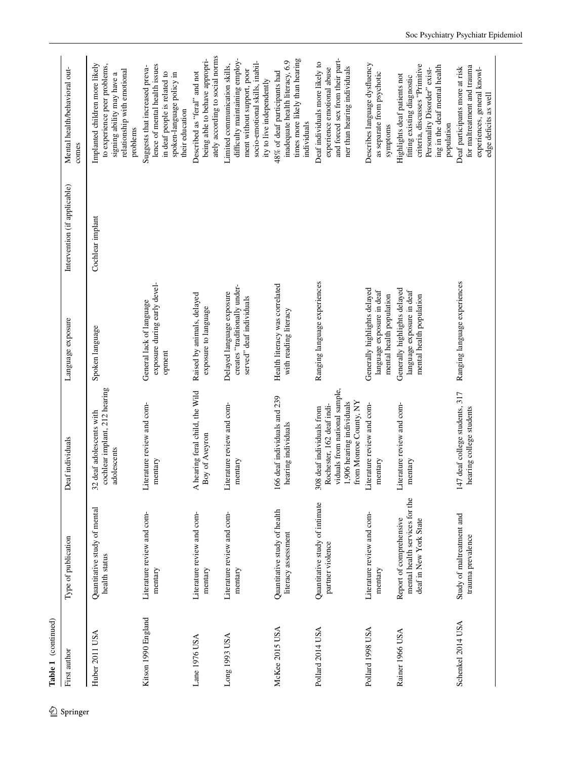|            | Table 1 (continued) |                                                                                     |                                                                                                                                                |                                                                                        |                              |                                                                                                                                                                              |
|------------|---------------------|-------------------------------------------------------------------------------------|------------------------------------------------------------------------------------------------------------------------------------------------|----------------------------------------------------------------------------------------|------------------------------|------------------------------------------------------------------------------------------------------------------------------------------------------------------------------|
| 2 Springer | First author        | Type of publication                                                                 | Deaf individuals                                                                                                                               | Language exposure                                                                      | Intervention (if applicable) | Mental health/behavioral out-<br>comes                                                                                                                                       |
|            | Huber 2011 USA      | Quantitative study of mental<br>health status                                       | cochlear implant, 212 hearing<br>deaf adolescents with<br>adolescents<br>32                                                                    | Spoken language                                                                        | Cochlear implant             | Implanted children more likely<br>to experience peer problems,<br>relationship with emotional<br>signing ability may have a<br>problems                                      |
|            | Kitson 1990 England | Literature review and com-<br>mentary                                               | Literature review and com-<br>nentary                                                                                                          | exposure during early devel-<br>General lack of language<br>opment                     |                              | lence of mental health issues<br>Suggests that increased preva-<br>in deaf people is related to<br>spoken-language policy in<br>their education                              |
|            | Lane 1976 USA       | Literature review and com-<br>mentary                                               | hearing feral child, the Wild<br>Boy of Aveyron<br>4                                                                                           | Raised by animals, delayed<br>exposure to language                                     |                              | ately according to social norms<br>being able to behave appropri-<br>Described as "feral" and not                                                                            |
|            | Long 1993 USA       | Literature review and com-<br>mentary                                               | Literature review and com-<br>nentary                                                                                                          | creates "traditionally under-<br>Delayed language exposure<br>served" deaf individuals |                              | difficulty maintaining employ-<br>socio-emotional skills, inabil-<br>Limited communication skills,<br>ment without support, poor<br>ity to live independently                |
|            | McKee 2015 USA      | Quantitative study of health<br>literacy assessment                                 | 166 deaf individuals and 239<br>nearing individuals                                                                                            | Health literacy was correlated<br>with reading literacy                                |                              | times more likely than hearing<br>inadequate health literacy, 6.9<br>48% of deaf participants had<br>individuals                                                             |
|            | Pollard 2014 USA    | Quantitative study of intimate<br>partner violence                                  | viduals from national sample,<br>from Monroe County, NY<br>1,906 hearing individuals<br>Rochester, 162 deaf indi-<br>308 deaf individuals from | Ranging language experiences                                                           |                              | and forced sex from their part-<br>Deaf individuals more likely to<br>ner than hearing individuals<br>experience emotional abuse                                             |
|            | Pollard 1998 USA    | Literature review and com-<br>mentary                                               | Literature review and com-<br>nentary                                                                                                          | Generally highlights delayed<br>language exposure in deaf<br>mental health population  |                              | Describes language dysfluency<br>as separate from psychotic<br>symptoms                                                                                                      |
|            | Rainer 1966 USA     | mental health services for the<br>Report of comprehensive<br>deaf in New York State | Literature review and com-<br>nentary                                                                                                          | Generally highlights delayed<br>language exposure in deaf<br>mental health population  |                              | criteria, discusses "Primitive<br>ing in the deaf mental health<br>Personality Disorder" exist-<br>Highlights deaf patients not<br>fitting existing diagnostic<br>population |
|            | Schenkel 2014 USA   | Study of maltreatment and<br>trauma prevalence                                      | 147 deaf college students, 317<br>nearing college students                                                                                     | Ranging language experiences                                                           |                              | for maltreatment and trauma<br>Deaf participants more at risk<br>experiences, general knowl-<br>edge deficits as well                                                        |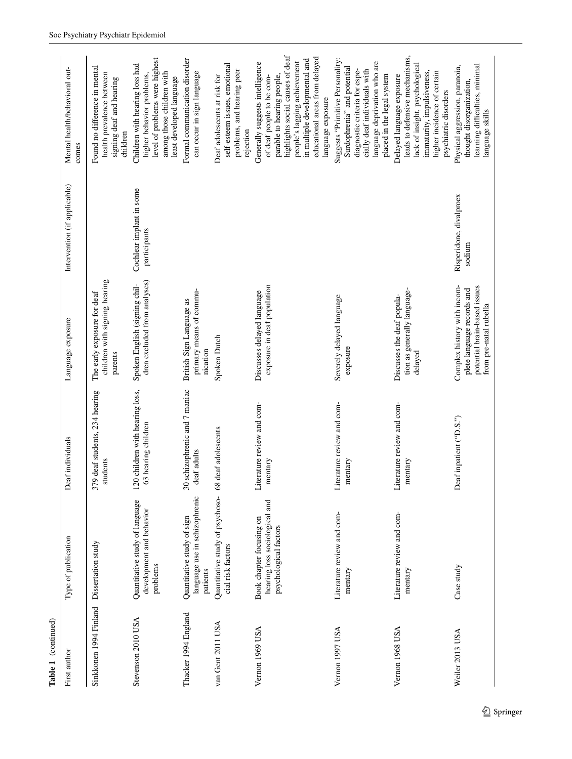| First author                              | Type of publication                                                                | Deaf individuals                                       | Language exposure                                                                                                   | Intervention (if applicable)             | Mental health/behavioral out-<br>comes                                                                                                                                                                                                                 |
|-------------------------------------------|------------------------------------------------------------------------------------|--------------------------------------------------------|---------------------------------------------------------------------------------------------------------------------|------------------------------------------|--------------------------------------------------------------------------------------------------------------------------------------------------------------------------------------------------------------------------------------------------------|
| Sinkkonen 1994 Finland Dissertation study |                                                                                    | 379 deaf students, 234 hearing<br>students             | children with signing hearing<br>The early exposure for deaf<br>parents                                             |                                          | Found no difference in mental<br>health prevalence between<br>signing deaf and hearing<br>children                                                                                                                                                     |
| Stevenson 2010 USA                        | Quantitative study of language<br>development and behavior<br>problems             | 120 children with hearing loss,<br>63 hearing children | dren excluded from analyses)<br>Spoken English (signing chil-                                                       | Cochlear implant in some<br>participants | level of problems were highest<br>Children with hearing loss had<br>among those children with<br>higher behavior problems,<br>least developed language                                                                                                 |
| Thacker 1994 England                      | language use in schizophrenic<br>Quantitative study of sign<br>patients            | 30 schizophrenic and 7 maniac<br>deaf adults           | primary means of commu-<br>British Sign Language as<br>nication                                                     |                                          | Formal communication disorder<br>can occur in sign language                                                                                                                                                                                            |
| van Gent 2011 USA                         | Quantitative study of psychoso-<br>cial risk factors                               | deaf adolescents<br>$\frac{8}{6}$                      | Spoken Dutch                                                                                                        |                                          | self-esteem issues, emotional<br>problems, and hearing peer<br>Deaf adolescents at risk for<br>rejection                                                                                                                                               |
| Vernon 1969 USA                           | hearing loss sociological and<br>Book chapter focusing on<br>psychological factors | Literature review and com-<br>mentary                  | exposure in deaf population<br>Discusses delayed language                                                           |                                          | highlights social causes of deaf<br>educational areas from delayed<br>in multiple developmental and<br>people's lagging achievement<br>Generally suggests intelligence<br>parable to hearing people,<br>of deaf people to be com-<br>language exposure |
| Vernon 1997 USA                           | Literature review and com-<br>mentary                                              | Literature review and com-<br>mentary                  | Severely delayed language<br>exposure                                                                               |                                          | Suggests "Primitive Personality:<br>language deprivation who are<br>Surdophrenia" and potential<br>diagnostic criteria for espe-<br>cially deaf individuals with<br>placed in the legal system                                                         |
| Vernon 1968 USA                           | Literature review and com-<br>mentary                                              | Literature review and com-<br>mentary                  | tion as generally language-<br>Discusses the deaf popula-<br>delayed                                                |                                          | leads to defensive mechanisms,<br>lack of insight, psychological<br>higher incidence of certain<br>immaturity, impulsiveness,<br>Delayed language exposure<br>psychiatric disorders                                                                    |
| Weiler 2013 USA                           | Case study                                                                         | Deaf inpatient ("D.S.")                                | Complex history with incom-<br>potential brain-based issues<br>plete language records and<br>from pre-natal rubella | Risperidone, divalproex<br>sodium        | learning difficulties, minimal<br>Physical aggression, paranoia,<br>thought disorganization,<br>language skills                                                                                                                                        |

**Table 1** (continued)

Table 1 (continued)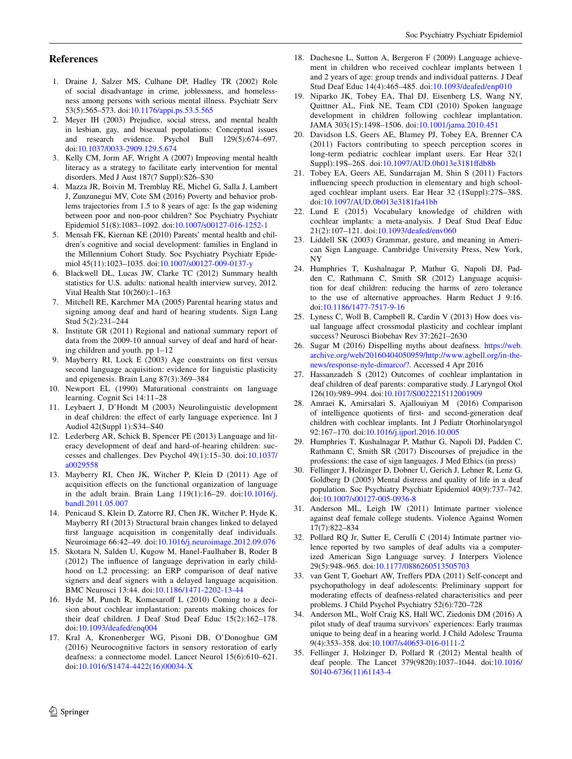### **References**

- <span id="page-13-0"></span>1. Draine J, Salzer MS, Culhane DP, Hadley TR (2002) Role of social disadvantage in crime, joblessness, and homelessness among persons with serious mental illness. Psychiatr Serv 53(5):565–573. doi[:10.1176/appi.ps.53.5.565](http://dx.doi.org/10.1176/appi.ps.53.5.565)
- 2. Meyer IH (2003) Prejudice, social stress, and mental health in lesbian, gay, and bisexual populations: Conceptual issues and research evidence. Psychol Bull 129(5):674–697. doi[:10.1037/0033-2909.129.5.674](http://dx.doi.org/10.1037/0033-2909.129.5.674)
- 3. Kelly CM, Jorm AF, Wright A (2007) Improving mental health literacy as a strategy to facilitate early intervention for mental disorders. Med J Aust 187(7 Suppl):S26–S30
- 4. Mazza JR, Boivin M, Tremblay RE, Michel G, Salla J, Lambert J, Zunzunegui MV, Cote SM (2016) Poverty and behavior problems trajectories from 1.5 to 8 years of age: Is the gap widening between poor and non-poor children? Soc Psychiatry Psychiatr Epidemiol 51(8):1083–1092. doi[:10.1007/s00127-016-1252-1](http://dx.doi.org/10.1007/s00127-016-1252-1)
- <span id="page-13-1"></span>5. Mensah FK, Kiernan KE (2010) Parents' mental health and children's cognitive and social development: families in England in the Millennium Cohort Study. Soc Psychiatry Psychiatr Epidemiol 45(11):1023–1035. doi[:10.1007/s00127-009-0137-y](http://dx.doi.org/10.1007/s00127-009-0137-y)
- <span id="page-13-2"></span>6. Blackwell DL, Lucas JW, Clarke TC (2012) Summary health statistics for U.S. adults: national health interview survey, 2012. Vital Health Stat 10(260):1–163
- <span id="page-13-3"></span>7. Mitchell RE, Karchmer MA (2005) Parental hearing status and signing among deaf and hard of hearing students. Sign Lang Stud 5(2):231–244
- <span id="page-13-4"></span>8. Institute GR (2011) Regional and national summary report of data from the 2009-10 annual survey of deaf and hard of hearing children and youth. pp 1–12
- <span id="page-13-5"></span>9. Mayberry RI, Lock E (2003) Age constraints on first versus second language acquisition: evidence for linguistic plasticity and epigenesis. Brain Lang 87(3):369–384
- <span id="page-13-6"></span>10. Newport EL (1990) Maturational constraints on language learning. Cognit Sci 14:11–28
- <span id="page-13-7"></span>11. Leybaert J, D'Hondt M (2003) Neurolinguistic development in deaf children: the effect of early language experience. Int J Audiol 42(Suppl 1):S34–S40
- <span id="page-13-8"></span>12. Lederberg AR, Schick B, Spencer PE (2013) Language and literacy development of deaf and hard-of-hearing children: successes and challenges. Dev Psychol 49(1):15–30. doi[:10.1037/](http://dx.doi.org/10.1037/a0029558) [a0029558](http://dx.doi.org/10.1037/a0029558)
- <span id="page-13-9"></span>13. Mayberry RI, Chen JK, Witcher P, Klein D (2011) Age of acquisition effects on the functional organization of language in the adult brain. Brain Lang 119(1):16–29. doi:[10.1016/j.](http://dx.doi.org/10.1016/j.bandl.2011.05.007) [bandl.2011.05.007](http://dx.doi.org/10.1016/j.bandl.2011.05.007)
- 14. Penicaud S, Klein D, Zatorre RJ, Chen JK, Witcher P, Hyde K, Mayberry RI (2013) Structural brain changes linked to delayed first language acquisition in congenitally deaf individuals. Neuroimage 66:42–49. doi[:10.1016/j.neuroimage.2012.09.076](http://dx.doi.org/10.1016/j.neuroimage.2012.09.076)
- <span id="page-13-10"></span>15. Skotara N, Salden U, Kugow M, Hanel-Faulhaber B, Roder B (2012) The influence of language deprivation in early childhood on L2 processing: an ERP comparison of deaf native signers and deaf signers with a delayed language acquisition. BMC Neurosci 13:44. doi[:10.1186/1471-2202-13-44](http://dx.doi.org/10.1186/1471-2202-13-44)
- <span id="page-13-11"></span>16. Hyde M, Punch R, Komesaroff L (2010) Coming to a decision about cochlear implantation: parents making choices for their deaf children. J Deaf Stud Deaf Educ 15(2):162–178. doi:[10.1093/deafed/enq004](http://dx.doi.org/10.1093/deafed/enq004)
- <span id="page-13-12"></span>17. Kral A, Kronenberger WG, Pisoni DB, O'Donoghue GM (2016) Neurocognitive factors in sensory restoration of early deafness: a connectome model. Lancet Neurol 15(6):610–621. doi:[10.1016/S1474-4422\(16\)00034-X](http://dx.doi.org/10.1016/S1474-4422(16)00034-X)
- <span id="page-13-13"></span>18. Duchesne L, Sutton A, Bergeron F (2009) Language achievement in children who received cochlear implants between 1 and 2 years of age: group trends and individual patterns. J Deaf Stud Deaf Educ 14(4):465–485. doi:[10.1093/deafed/enp010](http://dx.doi.org/10.1093/deafed/enp010)
- <span id="page-13-14"></span>19. Niparko JK, Tobey EA, Thal DJ, Eisenberg LS, Wang NY, Quittner AL, Fink NE, Team CDI (2010) Spoken language development in children following cochlear implantation. JAMA 303(15):1498–1506. doi[:10.1001/jama.2010.451](http://dx.doi.org/10.1001/jama.2010.451)
- <span id="page-13-15"></span>20. Davidson LS, Geers AE, Blamey PJ, Tobey EA, Brenner CA (2011) Factors contributing to speech perception scores in long-term pediatric cochlear implant users. Ear Hear 32(1 Suppl):19S–26S. doi:[10.1097/AUD.0b013e3181ffdb8b](http://dx.doi.org/10.1097/AUD.0b013e3181ffdb8b)
- <span id="page-13-16"></span>21. Tobey EA, Geers AE, Sundarrajan M, Shin S (2011) Factors influencing speech production in elementary and high schoolaged cochlear implant users. Ear Hear 32 (1Suppl):27S–38S. doi:[10.1097/AUD.0b013e3181fa41bb](http://dx.doi.org/10.1097/AUD.0b013e3181fa41bb)
- <span id="page-13-17"></span>22. Lund E (2015) Vocabulary knowledge of children with cochlear implants: a meta-analysis. J Deaf Stud Deaf Educ 21(2):107–121. doi[:10.1093/deafed/env060](http://dx.doi.org/10.1093/deafed/env060)
- <span id="page-13-18"></span>23. Liddell SK (2003) Grammar, gesture, and meaning in American Sign Language. Cambridge University Press, New York, NY
- <span id="page-13-19"></span>24. Humphries T, Kushalnagar P, Mathur G, Napoli DJ, Padden C, Rathmann C, Smith SR (2012) Language acquisition for deaf children: reducing the harms of zero tolerance to the use of alternative approaches. Harm Reduct J 9:16. doi[:10.1186/1477-7517-9-16](http://dx.doi.org/10.1186/1477-7517-9-16)
- <span id="page-13-20"></span>25. Lyness C, Woll B, Campbell R, Cardin V (2013) How does visual language affect crossmodal plasticity and cochlear implant success? Neurosci Biobehav Rev 37:2621–2630
- <span id="page-13-21"></span>26. Sugar M (2016) Dispelling myths about deafness. [https://web.](https://web.archive.org/web/20160404050959/http://www.agbell.org/in-the-news/response-nyle-dimarco/?https://web.archive.org/web/20160404050959/http://www.agbell.org/in-the-news/response-nyle-dimarco/?) [archive.org/web/20160404050959/http://www.agbell.org/in-the](https://web.archive.org/web/20160404050959/http://www.agbell.org/in-the-news/response-nyle-dimarco/?https://web.archive.org/web/20160404050959/http://www.agbell.org/in-the-news/response-nyle-dimarco/?)[news/response-nyle-dimarco/?](https://web.archive.org/web/20160404050959/http://www.agbell.org/in-the-news/response-nyle-dimarco/?https://web.archive.org/web/20160404050959/http://www.agbell.org/in-the-news/response-nyle-dimarco/?). Accessed 4 Apr 2016
- <span id="page-13-22"></span>27. Hassanzadeh S (2012) Outcomes of cochlear implantation in deaf children of deaf parents: comparative study. J Laryngol Otol 126(10):989–994. doi:[10.1017/S0022215112001909](http://dx.doi.org/10.1017/S0022215112001909)
- <span id="page-13-23"></span>28. Amraei K, Amirsalari S, Ajallouiyan M (2016) Comparison of intelligence quotients of first- and second-generation deaf children with cochlear implants. Int J Pediatr Otorhinolaryngol 92:167–170. doi[:10.1016/j.ijporl.2016.10.005](http://dx.doi.org/10.1016/j.ijporl.2016.10.005)
- <span id="page-13-24"></span>29. Humphries T, Kushalnagar P, Mathur G, Napoli DJ, Padden C, Rathmann C, Smith SR (2017) Discourses of prejudice in the professions: the case of sign languages. J Med Ethics (in press)
- <span id="page-13-25"></span>30. Fellinger J, Holzinger D, Dobner U, Gerich J, Lehner R, Lenz G, Goldberg D (2005) Mental distress and quality of life in a deaf population. Soc Psychiatry Psychiatr Epidemiol 40(9):737–742. doi[:10.1007/s00127-005-0936-8](http://dx.doi.org/10.1007/s00127-005-0936-8)
- <span id="page-13-26"></span>31. Anderson ML, Leigh IW (2011) Intimate partner violence against deaf female college students. Violence Against Women 17(7):822–834
- <span id="page-13-27"></span>32. Pollard RQ Jr, Sutter E, Cerulli C (2014) Intimate partner violence reported by two samples of deaf adults via a computerized American Sign Language survey. J Interpers Violence 29(5):948–965. doi[:10.1177/0886260513505703](http://dx.doi.org/10.1177/0886260513505703)
- <span id="page-13-28"></span>33. van Gent T, Goehart AW, Treffers PDA (2011) Self-concept and psychopathology in deaf adolescents: Preliminary support for moderating effects of deafness-related characterisitics and peer problems. J Child Psychol Psychiatry 52(6):720–728
- <span id="page-13-29"></span>34. Anderson ML, Wolf Craig KS, Hall WC, Ziedonis DM (2016) A pilot study of deaf trauma survivors' experiences: Early traumas unique to being deaf in a hearing world. J Child Adolesc Trauma 9(4):353–358. doi:[10.1007/s40653-016-0111-2](http://dx.doi.org/10.1007/s40653-016-0111-2)
- <span id="page-13-30"></span>35. Fellinger J, Holzinger D, Pollard R (2012) Mental health of deaf people. The Lancet 379(9820):1037–1044. doi[:10.1016/](http://dx.doi.org/10.1016/S0140-6736(11)61143-4) [S0140-6736\(11\)61143-4](http://dx.doi.org/10.1016/S0140-6736(11)61143-4)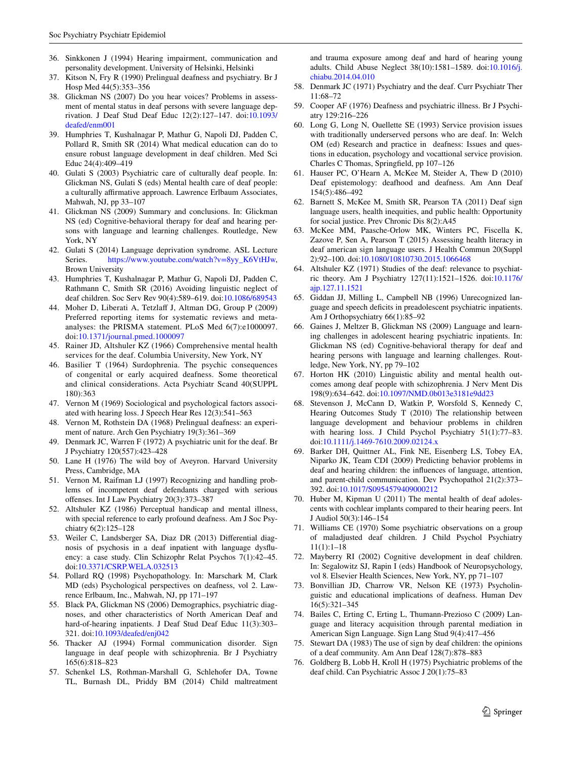- <span id="page-14-0"></span>36. Sinkkonen J (1994) Hearing impairment, communication and personality development. University of Helsinki, Helsinki
- <span id="page-14-13"></span>37. Kitson N, Fry R (1990) Prelingual deafness and psychiatry. Br J Hosp Med 44(5):353–356
- <span id="page-14-2"></span>38. Glickman NS (2007) Do you hear voices? Problems in assessment of mental status in deaf persons with severe language deprivation. J Deaf Stud Deaf Educ 12(2):127–147. doi[:10.1093/](http://dx.doi.org/10.1093/deafed/enm001) [deafed/enm001](http://dx.doi.org/10.1093/deafed/enm001)
- <span id="page-14-1"></span>39. Humphries T, Kushalnagar P, Mathur G, Napoli DJ, Padden C, Pollard R, Smith SR (2014) What medical education can do to ensure robust language development in deaf children. Med Sci Educ 24(4):409–419
- <span id="page-14-3"></span>40. Gulati S (2003) Psychiatric care of culturally deaf people. In: Glickman NS, Gulati S (eds) Mental health care of deaf people: a culturally affirmative approach. Lawrence Erlbaum Associates, Mahwah, NJ, pp 33–107
- <span id="page-14-14"></span>41. Glickman NS (2009) Summary and conclusions. In: Glickman NS (ed) Cognitive-behavioral therapy for deaf and hearing persons with language and learning challenges. Routledge, New York, NY
- <span id="page-14-38"></span>42. Gulati S (2014) Language deprivation syndrome. ASL Lecture<br>Series. https://www.youtube.com/watch?v=8yy\_K6VtHJw, [https://www.youtube.com/watch?v=8yy\\_K6VtHJw](https://www.youtube.com/watch?v=8yy_K6VtHJw), Brown University
- <span id="page-14-4"></span>43. Humphries T, Kushalnagar P, Mathur G, Napoli DJ, Padden C, Rathmann C, Smith SR (2016) Avoiding linguistic neglect of deaf children. Soc Serv Rev 90(4):589–619. doi[:10.1086/689543](http://dx.doi.org/10.1086/689543)
- <span id="page-14-5"></span>44. Moher D, Liberati A, Tetzlaff J, Altman DG, Group P (2009) Preferred reporting items for systematic reviews and metaanalyses: the PRISMA statement. PLoS Med 6(7):e1000097. doi:[10.1371/journal.pmed.1000097](http://dx.doi.org/10.1371/journal.pmed.1000097)
- <span id="page-14-6"></span>45. Rainer JD, Altshuler KZ (1966) Comprehensive mental health services for the deaf. Columbia University, New York, NY
- <span id="page-14-9"></span>46. Basilier T (1964) Surdophrenia. The psychic consequences of congenital or early acquired deafness. Some theoretical and clinical considerations. Acta Psychiatr Scand 40(SUPPL 180):363
- <span id="page-14-33"></span>47. Vernon M (1969) Sociological and psychological factors associated with hearing loss. J Speech Hear Res 12(3):541–563
- <span id="page-14-7"></span>48. Vernon M, Rothstein DA (1968) Prelingual deafness: an experiment of nature. Arch Gen Psychiatry 19(3):361–369
- <span id="page-14-8"></span>49. Denmark JC, Warren F (1972) A psychiatric unit for the deaf. Br J Psychiatry 120(557):423–428
- <span id="page-14-10"></span>50. Lane H (1976) The wild boy of Aveyron. Harvard University Press, Cambridge, MA
- <span id="page-14-11"></span>51. Vernon M, Raifman LJ (1997) Recognizing and handling problems of incompetent deaf defendants charged with serious offenses. Int J Law Psychiatry 20(3):373–387
- <span id="page-14-12"></span>52. Altshuler KZ (1986) Perceptual handicap and mental illness, with special reference to early profound deafness. Am J Soc Psychiatry 6(2):125–128
- <span id="page-14-15"></span>53. Weiler C, Landsberger SA, Diaz DR (2013) Differential diagnosis of psychosis in a deaf inpatient with language dysfluency: a case study. Clin Schizophr Relat Psychos 7(1):42–45. doi[:10.3371/CSRP.WELA.032513](http://dx.doi.org/10.3371/CSRP.WELA.032513)
- <span id="page-14-16"></span>54. Pollard RQ (1998) Psychopathology. In: Marschark M, Clark MD (eds) Psychological perspectives on deafness, vol 2. Lawrence Erlbaum, Inc., Mahwah, NJ, pp 171–197
- <span id="page-14-17"></span>55. Black PA, Glickman NS (2006) Demographics, psychiatric diagnoses, and other characteristics of North American Deaf and hard-of-hearing inpatients. J Deaf Stud Deaf Educ 11(3):303-321. doi[:10.1093/deafed/enj042](http://dx.doi.org/10.1093/deafed/enj042)
- <span id="page-14-18"></span>56. Thacker AJ (1994) Formal communication disorder. Sign language in deaf people with schizophrenia. Br J Psychiatry 165(6):818–823
- <span id="page-14-19"></span>57. Schenkel LS, Rothman-Marshall G, Schlehofer DA, Towne TL, Burnash DL, Priddy BM (2014) Child maltreatment

and trauma exposure among deaf and hard of hearing young adults. Child Abuse Neglect 38(10):1581–1589. doi:[10.1016/j.](http://dx.doi.org/10.1016/j.chiabu.2014.04.010) [chiabu.2014.04.010](http://dx.doi.org/10.1016/j.chiabu.2014.04.010)

- <span id="page-14-34"></span>58. Denmark JC (1971) Psychiatry and the deaf. Curr Psychiatr Ther 11:68–72
- <span id="page-14-24"></span>59. Cooper AF (1976) Deafness and psychiatric illness. Br J Psychiatry 129:216–226
- <span id="page-14-37"></span>60. Long G, Long N, Ouellette SE (1993) Service provision issues with traditionally underserved persons who are deaf. In: Welch OM (ed) Research and practice in deafness: Issues and questions in education, psychology and vocattional service provision. Charles C Thomas, Springfield, pp 107–126
- <span id="page-14-20"></span>61. Hauser PC, O'Hearn A, McKee M, Steider A, Thew D (2010) Deaf epistemology: deafhood and deafness. Am Ann Deaf 154(5):486–492
- <span id="page-14-21"></span>62. Barnett S, McKee M, Smith SR, Pearson TA (2011) Deaf sign language users, health inequities, and public health: Opportunity for social justice. Prev Chronic Dis 8(2):A45
- <span id="page-14-22"></span>63. McKee MM, Paasche-Orlow MK, Winters PC, Fiscella K, Zazove P, Sen A, Pearson T (2015) Assessing health literacy in deaf american sign language users. J Health Commun 20(Suppl 2):92–100. doi:[10.1080/10810730.2015.1066468](http://dx.doi.org/10.1080/10810730.2015.1066468)
- <span id="page-14-23"></span>64. Altshuler KZ (1971) Studies of the deaf: relevance to psychiatric theory. Am J Psychiatry 127(11):1521–1526. doi[:10.1176/](http://dx.doi.org/10.1176/ajp.127.11.1521) [ajp.127.11.1521](http://dx.doi.org/10.1176/ajp.127.11.1521)
- <span id="page-14-25"></span>65. Giddan JJ, Milling L, Campbell NB (1996) Unrecognized language and speech deficits in preadolescent psychiatric inpatients. Am J Orthopsychiatry 66(1):85–92
- <span id="page-14-26"></span>66. Gaines J, Meltzer B, Glickman NS (2009) Language and learning challenges in adolescent hearing psychiatric inpatients. In: Glickman NS (ed) Cognitive-behavioral therapy for deaf and hearing persons with language and learning challenges. Routledge, New York, NY, pp 79–102
- <span id="page-14-27"></span>67. Horton HK (2010) Linguistic ability and mental health outcomes among deaf people with schizophrenia. J Nerv Ment Dis 198(9):634–642. doi[:10.1097/NMD.0b013e3181e9dd23](http://dx.doi.org/10.1097/NMD.0b013e3181e9dd23)
- <span id="page-14-28"></span>68. Stevenson J, McCann D, Watkin P, Worsfold S, Kennedy C, Hearing Outcomes Study T (2010) The relationship between language development and behaviour problems in children with hearing loss. J Child Psychol Psychiatry 51(1):77–83. doi[:10.1111/j.1469-7610.2009.02124.x](http://dx.doi.org/10.1111/j.1469-7610.2009.02124.x)
- <span id="page-14-29"></span>69. Barker DH, Quittner AL, Fink NE, Eisenberg LS, Tobey EA, Niparko JK, Team CDI (2009) Predicting behavior problems in deaf and hearing children: the influences of language, attention, and parent-child communication. Dev Psychopathol 21(2):373– 392. doi[:10.1017/S0954579409000212](http://dx.doi.org/10.1017/S0954579409000212)
- <span id="page-14-30"></span>70. Huber M, Kipman U (2011) The mental health of deaf adolescents with cochlear implants compared to their hearing peers. Int J Audiol 50(3):146–154
- <span id="page-14-31"></span>71. Williams CE (1970) Some psychiatric observations on a group of maladjusted deaf children. J Child Psychol Psychiatry 11(1):1–18
- <span id="page-14-32"></span>72. Mayberry RI (2002) Cognitive development in deaf children. In: Segalowitz SJ, Rapin I (eds) Handbook of Neuropsychology, vol 8. Elsevier Health Sciences, New York, NY, pp 71–107
- 73. Bonvillian JD, Charrow VR, Nelson KE (1973) Psycholinguistic and educational implications of deafness. Human Dev 16(5):321–345
- <span id="page-14-36"></span>74. Bailes C, Erting C, Erting L, Thumann-Prezioso C (2009) Language and literacy acquisition through parental mediation in American Sign Language. Sign Lang Stud 9(4):417–456
- 75. Stewart DA (1983) The use of sign by deaf children: the opinions of a deaf community. Am Ann Deaf 128(7):878–883
- <span id="page-14-35"></span>76. Goldberg B, Lobb H, Kroll H (1975) Psychiatric problems of the deaf child. Can Psychiatric Assoc J 20(1):75–83